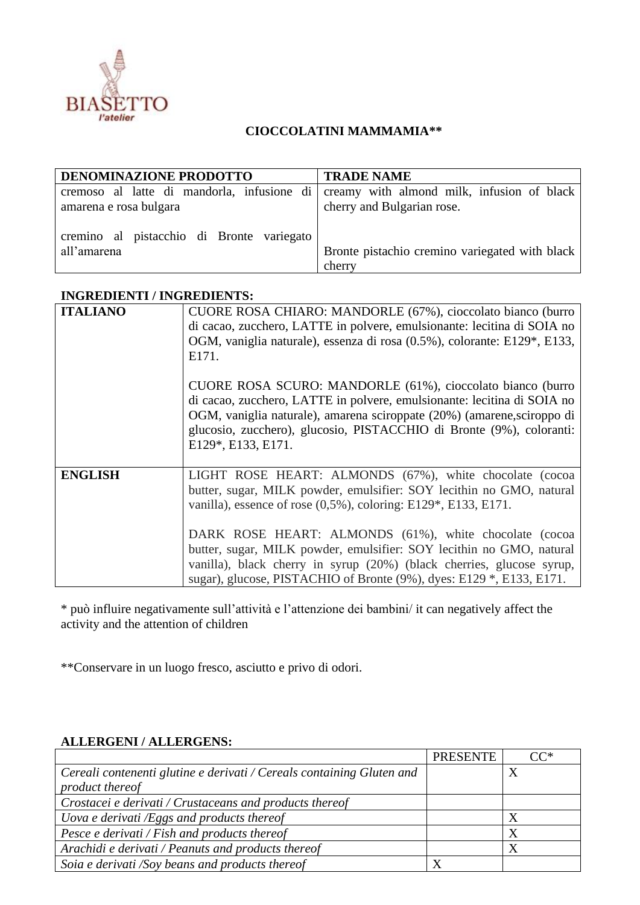

## **CIOCCOLATINI MAMMAMIA\*\***

| DENOMINAZIONE PRODOTTO                                   | <b>TRADE NAME</b>                                                                                                   |
|----------------------------------------------------------|---------------------------------------------------------------------------------------------------------------------|
| amarena e rosa bulgara                                   | cremoso al latte di mandorla, infusione di creamy with almond milk, infusion of black<br>cherry and Bulgarian rose. |
| cremino al pistacchio di Bronte variegato<br>all'amarena | Bronte pistachio cremino variegated with black<br>cherry                                                            |

## **INGREDIENTI / INGREDIENTS:**

| <b>ITALIANO</b> | CUORE ROSA CHIARO: MANDORLE (67%), cioccolato bianco (burro<br>di cacao, zucchero, LATTE in polvere, emulsionante: lecitina di SOIA no<br>OGM, vaniglia naturale), essenza di rosa (0.5%), colorante: E129*, E133,<br>E171.                                                                                                                                                                                      |  |  |
|-----------------|------------------------------------------------------------------------------------------------------------------------------------------------------------------------------------------------------------------------------------------------------------------------------------------------------------------------------------------------------------------------------------------------------------------|--|--|
|                 | CUORE ROSA SCURO: MANDORLE (61%), cioccolato bianco (burro<br>di cacao, zucchero, LATTE in polvere, emulsionante: lecitina di SOIA no<br>OGM, vaniglia naturale), amarena sciroppate (20%) (amarene, sciroppo di<br>glucosio, zucchero), glucosio, PISTACCHIO di Bronte (9%), coloranti:<br>E129*, E133, E171.                                                                                                   |  |  |
| <b>ENGLISH</b>  | LIGHT ROSE HEART: ALMONDS (67%), white chocolate (cocoa<br>butter, sugar, MILK powder, emulsifier: SOY lecithin no GMO, natural<br>vanilla), essence of rose $(0.5\%)$ , coloring: E129*, E133, E171.<br>DARK ROSE HEART: ALMONDS (61%), white chocolate (cocoa<br>butter, sugar, MILK powder, emulsifier: SOY lecithin no GMO, natural<br>vanilla), black cherry in syrup (20%) (black cherries, glucose syrup, |  |  |
|                 | sugar), glucose, PISTACHIO of Bronte (9%), dyes: E129 *, E133, E171.                                                                                                                                                                                                                                                                                                                                             |  |  |

\* può influire negativamente sull'attività e l'attenzione dei bambini/ it can negatively affect the activity and the attention of children

\*\*Conservare in un luogo fresco, asciutto e privo di odori.

## **ALLERGENI / ALLERGENS:**

|                                                                       | <b>PRESENTE</b> | $CC^*$ |
|-----------------------------------------------------------------------|-----------------|--------|
| Cereali contenenti glutine e derivati / Cereals containing Gluten and |                 |        |
| product thereof                                                       |                 |        |
| Crostacei e derivati / Crustaceans and products thereof               |                 |        |
| Uova e derivati $/Eggs$ and products thereof                          |                 |        |
| Pesce e derivati / Fish and products thereof                          |                 |        |
| Arachidi e derivati / Peanuts and products thereof                    |                 |        |
| Soia e derivati /Soy beans and products thereof                       |                 |        |